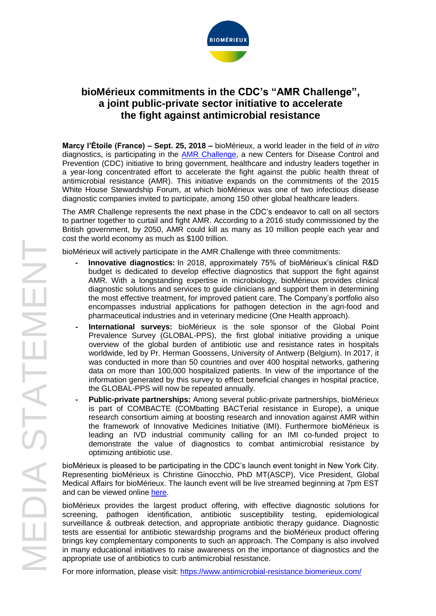

# **bioMérieux commitments in the CDC's "AMR Challenge", a joint public-private sector initiative to accelerate the fight against antimicrobial resistance**

**Marcy l'Étoile (France) – Sept. 25, 2018 –** bioMérieux, a world leader in the field of *in vitro* diagnostics, is participating in the **AMR Challenge**, a new Centers for Disease Control and Prevention (CDC) initiative to bring government, healthcare and industry leaders together in a year-long concentrated effort to accelerate the fight against the public health threat of antimicrobial resistance (AMR). This initiative expands on the commitments of the 2015 White House Stewardship Forum, at which bioMérieux was one of two infectious disease diagnostic companies invited to participate, among 150 other global healthcare leaders.

The AMR Challenge represents the next phase in the CDC's endeavor to call on all sectors to partner together to curtail and fight AMR. According to a 2016 study commissioned by the British government, by 2050, AMR could kill as many as 10 million people each year and cost the world economy as much as \$100 trillion.

bioMérieux will actively participate in the AMR Challenge with three commitments:

- **- Innovative diagnostics:** In 2018, approximately 75% of bioMérieux's clinical R&D budget is dedicated to develop effective diagnostics that support the fight against AMR. With a longstanding expertise in microbiology, bioMérieux provides clinical diagnostic solutions and services to guide clinicians and support them in determining the most effective treatment, for improved patient care. The Company's portfolio also encompasses industrial applications for pathogen detection in the agri-food and pharmaceutical industries and in veterinary medicine (One Health approach).
- **- International surveys:** bioMérieux is the sole sponsor of the Global Point Prevalence Survey (GLOBAL-PPS), the first global initiative providing a unique overview of the global burden of antibiotic use and resistance rates in hospitals worldwide, led by Pr. Herman Goossens, University of Antwerp (Belgium). In 2017, it was conducted in more than 50 countries and over 400 hospital networks, gathering data on more than 100,000 hospitalized patients. In view of the importance of the information generated by this survey to effect beneficial changes in hospital practice, the GLOBAL-PPS will now be repeated annually.
- **- Public-private partnerships:** Among several public-private partnerships, bioMérieux is part of COMBACTE (COMbatting BACTerial resistance in Europe), a unique research consortium aiming at boosting research and innovation against AMR within the framework of Innovative Medicines Initiative (IMI). Furthermore bioMérieux is leading an IVD industrial community calling for an IMI co-funded project to demonstrate the value of diagnostics to combat antimicrobial resistance by optimizing antibiotic use.

bioMérieux is pleased to be participating in the CDC's launch event tonight in New York City. Representing bioMérieux is Christine Ginocchio, PhD MT(ASCP), Vice President, Global Medical Affairs for bioMérieux. The launch event will be live streamed beginning at 7pm EST and can be viewed online [here.](https://go.biomerieux.com/gac)

bioMérieux provides the largest product offering, with effective diagnostic solutions for screening, pathogen identification, antibiotic susceptibility testing, epidemiological surveillance & outbreak detection, and appropriate antibiotic therapy guidance. Diagnostic tests are essential for antibiotic stewardship programs and the bioMérieux product offering brings key complementary components to such an approach. The Company is also involved in many educational initiatives to raise awareness on the importance of diagnostics and the appropriate use of antibiotics to curb antimicrobial resistance.

For more information, please visit:<https://www.antimicrobial-resistance.biomerieux.com/>